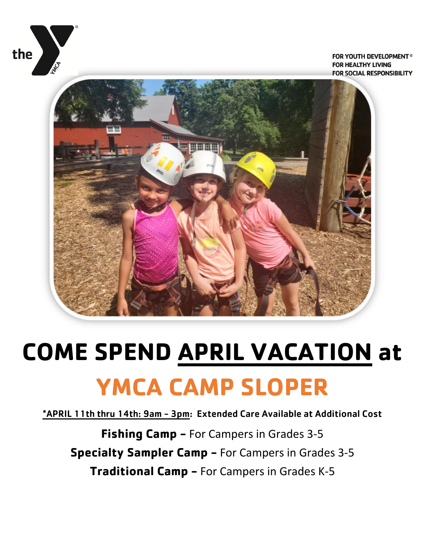

FOR YOUTH DEVELOPMENT® **FOR HEALTHY LIVING FOR SOCIAL RESPONSIBILITY** 



# **COME SPEND APRIL VACATION at YMCA CAMP SLOPER**

\*APRIL 11th thru 14th: 9am - 3pm: Extended Care Available at Additional Cost

**Fishing Camp -** For Campers in Grades 3-5 **Specialty Sampler Camp -** For Campers in Grades 3-5 **Traditional Camp -** For Campers in Grades K-5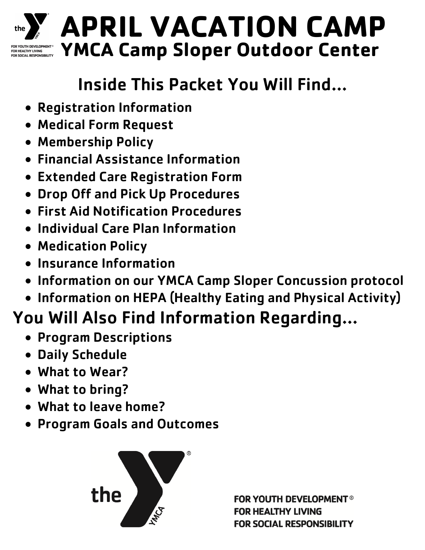

# **APRIL VACATION CAMP YMCA Camp Sloper Outdoor Center**

# Inside This Packet You Will Find…

- Registration Information
- Medical Form Request
- Membership Policy
- Financial Assistance Information
- Extended Care Registration Form
- Drop Off and Pick Up Procedures
- First Aid Notification Procedures
- Individual Care Plan Information
- Medication Policy
- **Insurance Information**
- Information on our YMCA Camp Sloper Concussion protocol
- Information on HEPA (Healthy Eating and Physical Activity)

# You Will Also Find Information Regarding…

- **Program Descriptions**
- Daily Schedule
- What to Wear?
- What to bring?
- What to leave home?
- Program Goals and Outcomes



**FOR YOUTH DEVELOPMENT<sup>®</sup>** FOR HEALTHY LIVING **FOR SOCIAL RESPONSIBILITY**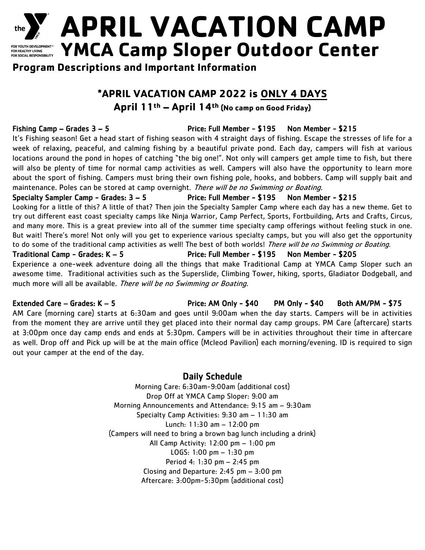

**APRIL VACATION CAMP** FOR YOUTH DEVELOPMENT® YMCA Camp Sloper Outdoor Center

**Program Descriptions and Important Information**

# **\*APRIL VACATION CAMP 2022 is ONLY 4 DAYS**

### **April 11th – April 14th (No camp on Good Friday)**

## Fishing Camp – Grades 3 – 5 Price: Full Member - \$195 Non Member - \$215

It's Fishing season! Get a head start of fishing season with 4 straight days of fishing. Escape the stresses of life for a week of relaxing, peaceful, and calming fishing by a beautiful private pond. Each day, campers will fish at various locations around the pond in hopes of catching "the big one!". Not only will campers get ample time to fish, but there will also be plenty of time for normal camp activities as well. Campers will also have the opportunity to learn more about the sport of fishing. Campers must bring their own fishing pole, hooks, and bobbers. Camp will supply bait and maintenance. Poles can be stored at camp overnight. There will be no Swimming or Boating.

### Specialty Sampler Camp - Grades: 3 – 5 Price: Full Member - \$195 Non Member - \$215

Looking for a little of this? A little of that? Then join the Specialty Sampler Camp where each day has a new theme. Get to try out different east coast specialty camps like Ninja Warrior, Camp Perfect, Sports, Fortbuilding, Arts and Crafts, Circus, and many more. This is a great preview into all of the summer time specialty camp offerings without feeling stuck in one. But wait! There's more! Not only will you get to experience various specialty camps, but you will also get the opportunity to do some of the traditional camp activities as well! The best of both worlds! There will be no Swimming or Boating.

Traditional Camp - Grades: K – 5 Price: Full Member - \$195 Non Member - \$205 Experience a one-week adventure doing all the things that make Traditional Camp at YMCA Camp Sloper such an awesome time. Traditional activities such as the Superslide, Climbing Tower, hiking, sports, Gladiator Dodgeball, and much more will all be available. There will be no Swimming or Boating.

Extended Care – Grades: K – 5 The State of Price: AM Only - \$40 PM Only - \$40 Both AM/PM - \$75

AM Care (morning care) starts at 6:30am and goes until 9:00am when the day starts. Campers will be in activities from the moment they are arrive until they get placed into their normal day camp groups. PM Care (aftercare) starts at 3:00pm once day camp ends and ends at 5:30pm. Campers will be in activities throughout their time in aftercare as well. Drop off and Pick up will be at the main office (Mcleod Pavilion) each morning/evening. ID is required to sign out your camper at the end of the day.

## Daily Schedule

Morning Care: 6:30am-9:00am (additional cost) Drop Off at YMCA Camp Sloper: 9:00 am Morning Announcements and Attendance: 9:15 am – 9:30am Specialty Camp Activities: 9:30 am – 11:30 am Lunch: 11:30 am – 12:00 pm (Campers will need to bring a brown bag lunch including a drink) All Camp Activity: 12:00 pm – 1:00 pm LOGS: 1:00 pm – 1:30 pm Period 4: 1:30 pm – 2:45 pm Closing and Departure: 2:45 pm – 3:00 pm Aftercare: 3:00pm-5:30pm (additional cost)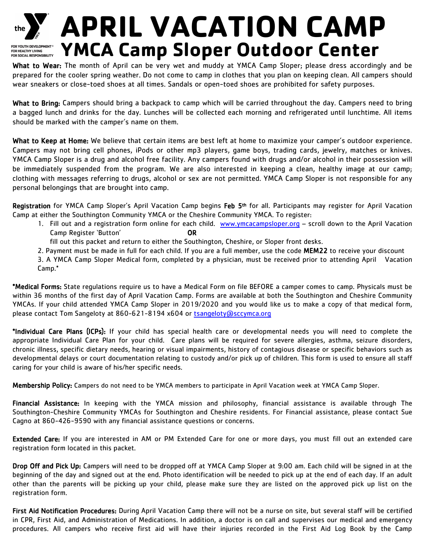

# the **Example PIRIL VACATION CAMP FOR YOUTH DEVELOPMENT®** YMCA Camp Sloper Outdoor Center

What to Wear: The month of April can be very wet and muddy at YMCA Camp Sloper; please dress accordingly and be prepared for the cooler spring weather. Do not come to camp in clothes that you plan on keeping clean. All campers should wear sneakers or close-toed shoes at all times. Sandals or open-toed shoes are prohibited for safety purposes.

What to Bring: Campers should bring a backpack to camp which will be carried throughout the day. Campers need to bring a bagged lunch and drinks for the day. Lunches will be collected each morning and refrigerated until lunchtime. All items should be marked with the camper's name on them.

What to Keep at Home: We believe that certain items are best left at home to maximize your camper's outdoor experience. Campers may not bring cell phones, iPods or other mp3 players, game boys, trading cards, jewelry, matches or knives. YMCA Camp Sloper is a drug and alcohol free facility. Any campers found with drugs and/or alcohol in their possession will be immediately suspended from the program. We are also interested in keeping a clean, healthy image at our camp; clothing with messages referring to drugs, alcohol or sex are not permitted. YMCA Camp Sloper is not responsible for any personal belongings that are brought into camp.

Registration for YMCA Camp Sloper's April Vacation Camp begins Feb 5<sup>th</sup> for all. Participants may register for April Vacation Camp at either the Southington Community YMCA or the Cheshire Community YMCA. To register:

- 1. Fill out and a registration form online for each child. [www.ymcacampsloper.org](http://www.ymcacampsloper.org/) scroll down to the April Vacation Camp Register 'Button' OR
	- fill out this packet and return to either the Southington, Cheshire, or Sloper front desks.
- 2. Payment must be made in full for each child. If you are a full member, use the code MEM22 to receive your discount

3. A YMCA Camp Sloper Medical form, completed by a physician, must be received prior to attending April Vacation Camp.\*

\*Medical Forms: State regulations require us to have a Medical Form on file BEFORE a camper comes to camp. Physicals must be within 36 months of the first day of April Vacation Camp. Forms are available at both the Southington and Cheshire Community YMCAs. If your child attended YMCA Camp Sloper in 2019/2020 and you would like us to make a copy of that medical form, please contact Tom Sangeloty at 860-621-8194 x604 or [tsangeloty@sccymca.org](mailto:tsangeloty@sccymca.org)

\*Individual Care Plans (ICPs): If your child has special health care or developmental needs you will need to complete the appropriate Individual Care Plan for your child. Care plans will be required for severe allergies, asthma, seizure disorders, chronic illness, specific dietary needs, hearing or visual impairments, history of contagious disease or specific behaviors such as developmental delays or court documentation relating to custody and/or pick up of children. This form is used to ensure all staff caring for your child is aware of his/her specific needs.

Membership Policy: Campers do not need to be YMCA members to participate in April Vacation week at YMCA Camp Sloper.

Financial Assistance: In keeping with the YMCA mission and philosophy, financial assistance is available through The Southington-Cheshire Community YMCAs for Southington and Cheshire residents. For Financial assistance, please contact Sue Cagno at 860-426-9590 with any financial assistance questions or concerns.

Extended Care: If you are interested in AM or PM Extended Care for one or more days, you must fill out an extended care registration form located in this packet.

Drop Off and Pick Up: Campers will need to be dropped off at YMCA Camp Sloper at 9:00 am. Each child will be signed in at the beginning of the day and signed out at the end. Photo identification will be needed to pick up at the end of each day. If an adult other than the parents will be picking up your child, please make sure they are listed on the approved pick up list on the registration form.

First Aid Notification Procedures: During April Vacation Camp there will not be a nurse on site, but several staff will be certified in CPR, First Aid, and Administration of Medications. In addition, a doctor is on call and supervises our medical and emergency procedures. All campers who receive first aid will have their injuries recorded in the First Aid Log Book by the Camp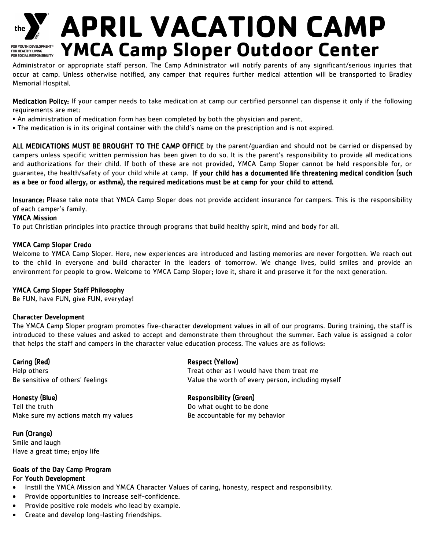

# the **Y** APRIL VACATION CAMP **FOR YOUTH DEVELOPMENT®** YMCA Camp Sloper Outdoor Center

Administrator or appropriate staff person. The Camp Administrator will notify parents of any significant/serious injuries that occur at camp. Unless otherwise notified, any camper that requires further medical attention will be transported to Bradley Memorial Hospital.

Medication Policy: If your camper needs to take medication at camp our certified personnel can dispense it only if the following requirements are met:

- An administration of medication form has been completed by both the physician and parent.
- The medication is in its original container with the child's name on the prescription and is not expired.

ALL MEDICATIONS MUST BE BROUGHT TO THE CAMP OFFICE by the parent/guardian and should not be carried or dispensed by campers unless specific written permission has been given to do so. It is the parent's responsibility to provide all medications and authorizations for their child. If both of these are not provided, YMCA Camp Sloper cannot be held responsible for, or guarantee, the health/safety of your child while at camp. If your child has a documented life threatening medical condition (such as a bee or food allergy, or asthma), the required medications must be at camp for your child to attend.

Insurance: Please take note that YMCA Camp Sloper does not provide accident insurance for campers. This is the responsibility of each camper's family.

#### YMCA Mission

To put Christian principles into practice through programs that build healthy spirit, mind and body for all.

#### YMCA Camp Sloper Credo

Welcome to YMCA Camp Sloper. Here, new experiences are introduced and lasting memories are never forgotten. We reach out to the child in everyone and build character in the leaders of tomorrow. We change lives, build smiles and provide an environment for people to grow. Welcome to YMCA Camp Sloper; love it, share it and preserve it for the next generation.

#### YMCA Camp Sloper Staff Philosophy

Be FUN, have FUN, give FUN, everyday!

#### Character Development

The YMCA Camp Sloper program promotes five-character development values in all of our programs. During training, the staff is introduced to these values and asked to accept and demonstrate them throughout the summer. Each value is assigned a color that helps the staff and campers in the character value education process. The values are as follows:

Caring (Red) **Respect (Yellow**)

Tell the truth Do what ought to be done Make sure my actions match my values Be accountable for my behavior

## Fun (Orange)

Smile and laugh Have a great time; enjoy life

#### Goals of the Day Camp Program For Youth Development

- Instill the YMCA Mission and YMCA Character Values of caring, honesty, respect and responsibility.
- Provide opportunities to increase self-confidence.
- Provide positive role models who lead by example.
- Create and develop long-lasting friendships.

Help others Treat other as I would have them treat me Be sensitive of others' feelings Value the worth of every person, including myself

#### Honesty (Blue) Responsibility (Green)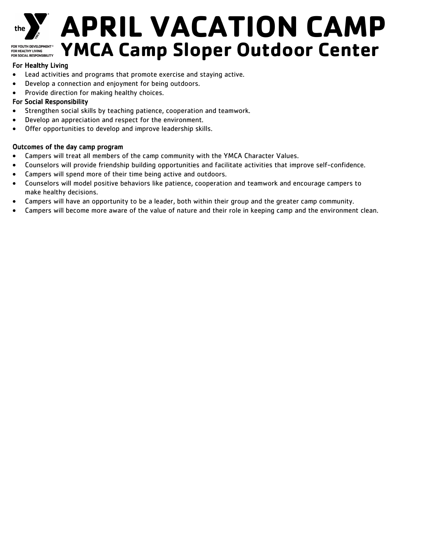

# **APRIL VACATION CAMP YMCA Camp Sloper Outdoor Center** FOR YOUTH DEVELOPMENT<sup>®</sup> FOR HEALTHY LIVING<br>FOR HEALTHY LIVING<br>FOR SOCIAL RESPONSIBILITY

### For Healthy Living

- Lead activities and programs that promote exercise and staying active.
- Develop a connection and enjoyment for being outdoors.
- Provide direction for making healthy choices.

### For Social Responsibility

- Strengthen social skills by teaching patience, cooperation and teamwork.
- Develop an appreciation and respect for the environment.
- Offer opportunities to develop and improve leadership skills.

#### Outcomes of the day camp program

- Campers will treat all members of the camp community with the YMCA Character Values.
- Counselors will provide friendship building opportunities and facilitate activities that improve self-confidence.
- Campers will spend more of their time being active and outdoors.
- Counselors will model positive behaviors like patience, cooperation and teamwork and encourage campers to make healthy decisions.
- Campers will have an opportunity to be a leader, both within their group and the greater camp community.
- Campers will become more aware of the value of nature and their role in keeping camp and the environment clean.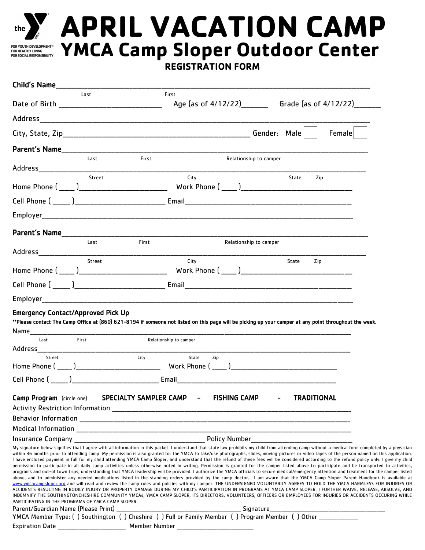

# the **Y** APRIL VACATION CAMP **YMCA Camp Sloper Outdoor Center**

**REGISTRATION FORM**

| Child's Name and the state of the state of the state of the state of the state of the state of the state of the |                                                            |                                                                                                                                                                                  |                                                                                                                                                                                                                                                                                                                                                                                                                                                                                                                                                                                                                                                                                                                                                                                                                                                                                                                                                                                                                                                                                                                                                                                                                                                                                                                                                                                                                                                                                                                                                                                                                                                                                                          |
|-----------------------------------------------------------------------------------------------------------------|------------------------------------------------------------|----------------------------------------------------------------------------------------------------------------------------------------------------------------------------------|----------------------------------------------------------------------------------------------------------------------------------------------------------------------------------------------------------------------------------------------------------------------------------------------------------------------------------------------------------------------------------------------------------------------------------------------------------------------------------------------------------------------------------------------------------------------------------------------------------------------------------------------------------------------------------------------------------------------------------------------------------------------------------------------------------------------------------------------------------------------------------------------------------------------------------------------------------------------------------------------------------------------------------------------------------------------------------------------------------------------------------------------------------------------------------------------------------------------------------------------------------------------------------------------------------------------------------------------------------------------------------------------------------------------------------------------------------------------------------------------------------------------------------------------------------------------------------------------------------------------------------------------------------------------------------------------------------|
|                                                                                                                 | Last                                                       | First                                                                                                                                                                            |                                                                                                                                                                                                                                                                                                                                                                                                                                                                                                                                                                                                                                                                                                                                                                                                                                                                                                                                                                                                                                                                                                                                                                                                                                                                                                                                                                                                                                                                                                                                                                                                                                                                                                          |
|                                                                                                                 |                                                            |                                                                                                                                                                                  |                                                                                                                                                                                                                                                                                                                                                                                                                                                                                                                                                                                                                                                                                                                                                                                                                                                                                                                                                                                                                                                                                                                                                                                                                                                                                                                                                                                                                                                                                                                                                                                                                                                                                                          |
|                                                                                                                 |                                                            |                                                                                                                                                                                  |                                                                                                                                                                                                                                                                                                                                                                                                                                                                                                                                                                                                                                                                                                                                                                                                                                                                                                                                                                                                                                                                                                                                                                                                                                                                                                                                                                                                                                                                                                                                                                                                                                                                                                          |
|                                                                                                                 |                                                            |                                                                                                                                                                                  | Female                                                                                                                                                                                                                                                                                                                                                                                                                                                                                                                                                                                                                                                                                                                                                                                                                                                                                                                                                                                                                                                                                                                                                                                                                                                                                                                                                                                                                                                                                                                                                                                                                                                                                                   |
|                                                                                                                 | <b>Parent's Name Example 2018</b>                          |                                                                                                                                                                                  |                                                                                                                                                                                                                                                                                                                                                                                                                                                                                                                                                                                                                                                                                                                                                                                                                                                                                                                                                                                                                                                                                                                                                                                                                                                                                                                                                                                                                                                                                                                                                                                                                                                                                                          |
|                                                                                                                 | Last<br>First                                              | Relationship to camper                                                                                                                                                           |                                                                                                                                                                                                                                                                                                                                                                                                                                                                                                                                                                                                                                                                                                                                                                                                                                                                                                                                                                                                                                                                                                                                                                                                                                                                                                                                                                                                                                                                                                                                                                                                                                                                                                          |
|                                                                                                                 | Street                                                     | City                                                                                                                                                                             | State<br>Zip                                                                                                                                                                                                                                                                                                                                                                                                                                                                                                                                                                                                                                                                                                                                                                                                                                                                                                                                                                                                                                                                                                                                                                                                                                                                                                                                                                                                                                                                                                                                                                                                                                                                                             |
|                                                                                                                 |                                                            |                                                                                                                                                                                  |                                                                                                                                                                                                                                                                                                                                                                                                                                                                                                                                                                                                                                                                                                                                                                                                                                                                                                                                                                                                                                                                                                                                                                                                                                                                                                                                                                                                                                                                                                                                                                                                                                                                                                          |
|                                                                                                                 |                                                            |                                                                                                                                                                                  |                                                                                                                                                                                                                                                                                                                                                                                                                                                                                                                                                                                                                                                                                                                                                                                                                                                                                                                                                                                                                                                                                                                                                                                                                                                                                                                                                                                                                                                                                                                                                                                                                                                                                                          |
|                                                                                                                 |                                                            |                                                                                                                                                                                  |                                                                                                                                                                                                                                                                                                                                                                                                                                                                                                                                                                                                                                                                                                                                                                                                                                                                                                                                                                                                                                                                                                                                                                                                                                                                                                                                                                                                                                                                                                                                                                                                                                                                                                          |
|                                                                                                                 |                                                            |                                                                                                                                                                                  |                                                                                                                                                                                                                                                                                                                                                                                                                                                                                                                                                                                                                                                                                                                                                                                                                                                                                                                                                                                                                                                                                                                                                                                                                                                                                                                                                                                                                                                                                                                                                                                                                                                                                                          |
|                                                                                                                 | Last<br>First                                              | Relationship to camper                                                                                                                                                           |                                                                                                                                                                                                                                                                                                                                                                                                                                                                                                                                                                                                                                                                                                                                                                                                                                                                                                                                                                                                                                                                                                                                                                                                                                                                                                                                                                                                                                                                                                                                                                                                                                                                                                          |
|                                                                                                                 |                                                            |                                                                                                                                                                                  |                                                                                                                                                                                                                                                                                                                                                                                                                                                                                                                                                                                                                                                                                                                                                                                                                                                                                                                                                                                                                                                                                                                                                                                                                                                                                                                                                                                                                                                                                                                                                                                                                                                                                                          |
|                                                                                                                 | Street                                                     | City                                                                                                                                                                             | State<br>Zip                                                                                                                                                                                                                                                                                                                                                                                                                                                                                                                                                                                                                                                                                                                                                                                                                                                                                                                                                                                                                                                                                                                                                                                                                                                                                                                                                                                                                                                                                                                                                                                                                                                                                             |
|                                                                                                                 |                                                            |                                                                                                                                                                                  |                                                                                                                                                                                                                                                                                                                                                                                                                                                                                                                                                                                                                                                                                                                                                                                                                                                                                                                                                                                                                                                                                                                                                                                                                                                                                                                                                                                                                                                                                                                                                                                                                                                                                                          |
|                                                                                                                 |                                                            |                                                                                                                                                                                  |                                                                                                                                                                                                                                                                                                                                                                                                                                                                                                                                                                                                                                                                                                                                                                                                                                                                                                                                                                                                                                                                                                                                                                                                                                                                                                                                                                                                                                                                                                                                                                                                                                                                                                          |
| <b>Emergency Contact/Approved Pick Up</b><br>Name<br>Last<br>First                                              |                                                            | **Please contact The Camp Office at (860) 621-8194 if someone not listed on this page will be picking up your camper at any point throughout the week.<br>Relationship to camper |                                                                                                                                                                                                                                                                                                                                                                                                                                                                                                                                                                                                                                                                                                                                                                                                                                                                                                                                                                                                                                                                                                                                                                                                                                                                                                                                                                                                                                                                                                                                                                                                                                                                                                          |
| Street                                                                                                          | City                                                       | State<br>Zip                                                                                                                                                                     |                                                                                                                                                                                                                                                                                                                                                                                                                                                                                                                                                                                                                                                                                                                                                                                                                                                                                                                                                                                                                                                                                                                                                                                                                                                                                                                                                                                                                                                                                                                                                                                                                                                                                                          |
|                                                                                                                 |                                                            |                                                                                                                                                                                  |                                                                                                                                                                                                                                                                                                                                                                                                                                                                                                                                                                                                                                                                                                                                                                                                                                                                                                                                                                                                                                                                                                                                                                                                                                                                                                                                                                                                                                                                                                                                                                                                                                                                                                          |
|                                                                                                                 |                                                            |                                                                                                                                                                                  |                                                                                                                                                                                                                                                                                                                                                                                                                                                                                                                                                                                                                                                                                                                                                                                                                                                                                                                                                                                                                                                                                                                                                                                                                                                                                                                                                                                                                                                                                                                                                                                                                                                                                                          |
|                                                                                                                 | <b>Camp Program</b> (circle one)  SPECIALTY SAMPLER CAMP - | <b>FISHING CAMP</b>                                                                                                                                                              | <b>TRADITIONAL</b>                                                                                                                                                                                                                                                                                                                                                                                                                                                                                                                                                                                                                                                                                                                                                                                                                                                                                                                                                                                                                                                                                                                                                                                                                                                                                                                                                                                                                                                                                                                                                                                                                                                                                       |
|                                                                                                                 |                                                            |                                                                                                                                                                                  |                                                                                                                                                                                                                                                                                                                                                                                                                                                                                                                                                                                                                                                                                                                                                                                                                                                                                                                                                                                                                                                                                                                                                                                                                                                                                                                                                                                                                                                                                                                                                                                                                                                                                                          |
|                                                                                                                 |                                                            |                                                                                                                                                                                  |                                                                                                                                                                                                                                                                                                                                                                                                                                                                                                                                                                                                                                                                                                                                                                                                                                                                                                                                                                                                                                                                                                                                                                                                                                                                                                                                                                                                                                                                                                                                                                                                                                                                                                          |
|                                                                                                                 |                                                            |                                                                                                                                                                                  |                                                                                                                                                                                                                                                                                                                                                                                                                                                                                                                                                                                                                                                                                                                                                                                                                                                                                                                                                                                                                                                                                                                                                                                                                                                                                                                                                                                                                                                                                                                                                                                                                                                                                                          |
| PARTICIPATING IN THE PROGRAMS OF YMCA CAMP SLOPER.                                                              |                                                            |                                                                                                                                                                                  | My signature below signifies that I agree with all information in this packet. I understand that state law prohibits my child from attending camp without a medical form completed by a physician<br>within 36 months prior to attending camp. My permission is also granted for the YMCA to take/use photographs, slides, moving pictures or video tapes of the person named on this application.<br>I have enclosed payment in full for my child attending YMCA Camp Sloper, and understand that the refund of these fees will be considered according to the refund policy only. I give my child<br>permission to participate in all daily camp activities unless otherwise noted in writing. Permission is granted for the camper listed above to participate and be transported to activities,<br>programs and out-of town trips, understanding that YMCA leadership will be provided. I authorize the YMCA officials to secure medical/emergency attention and treatment for the camper listed<br>above, and to administer any needed medications listed in the standing orders provided by the camp doctor. I am aware that the YMCA Camp Sloper Parent Handbook is available at<br>www.ymcacampsloper.org and will read and review the camp rules and policies with my camper. THE UNDERSIGNED VOLUNTARILY AGREES TO HOLD THE YMCA HARMLESS FOR INJURIES OR<br>ACCIDENTS RESULTING IN BODILY INJURY OR PROPERTY DAMAGE DURING MY CHILD'S PARTICIPATION IN PROGRAMS AT YMCA CAMP SLOPER. I FURTHER WAIVE, RELEASE, ABSOLVE, AND<br>INDEMNIFY THE SOUTHINGTONCHESHIRE COMMUNITY YMCAs, YMCA CAMP SLOPER, ITS DIRECTORS, VOLUNTEERS, OFFICERS OR EMPLOYEES FOR INJURIES OR ACCIDENTS OCCURING WHILE |
|                                                                                                                 |                                                            |                                                                                                                                                                                  |                                                                                                                                                                                                                                                                                                                                                                                                                                                                                                                                                                                                                                                                                                                                                                                                                                                                                                                                                                                                                                                                                                                                                                                                                                                                                                                                                                                                                                                                                                                                                                                                                                                                                                          |
| <b>Expiration Date</b>                                                                                          | Member Number                                              |                                                                                                                                                                                  |                                                                                                                                                                                                                                                                                                                                                                                                                                                                                                                                                                                                                                                                                                                                                                                                                                                                                                                                                                                                                                                                                                                                                                                                                                                                                                                                                                                                                                                                                                                                                                                                                                                                                                          |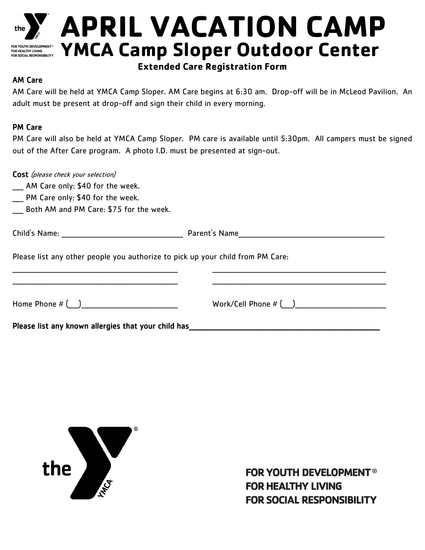

# the **Y** APRIL VACATION CAMP **YMCA Camp Sloper Outdoor Center**

## **Extended Care Registration Form**

### AM Care

AM Care will be held at YMCA Camp Sloper. AM Care begins at 6:30 am. Drop-off will be in McLeod Pavilion. An adult must be present at drop-off and sign their child in every morning.

### PM Care

PM Care will also be held at YMCA Camp Sloper. PM care is available until 5:30pm. All campers must be signed out of the After Care program. A photo I.D. must be presented at sign-out.

| Cost (please check your selection)<br>__ AM Care only: \$40 for the week.<br>___ PM Care only: \$40 for the week.<br>Both AM and PM Care: \$75 for the week. |  |
|--------------------------------------------------------------------------------------------------------------------------------------------------------------|--|
|                                                                                                                                                              |  |
| Please list any other people you authorize to pick up your child from PM Care:                                                                               |  |
|                                                                                                                                                              |  |
| Please list any known allergies that your child has                                                                                                          |  |



**FOR YOUTH DEVELOPMENT® FOR HEALTHY LIVING FOR SOCIAL RESPONSIBILITY**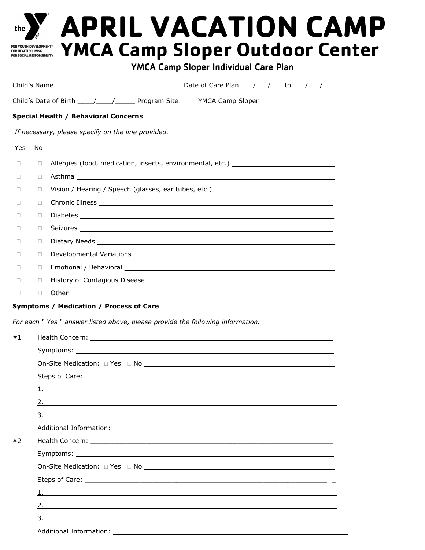| Child's Date of Birth _____/_____/ Program Site: ____YMCA Camp Sloper ______________________________<br>Special Health / Behavioral Concerns<br>If necessary, please specify on the line provided.<br>No<br>Yes<br>Allergies (food, medication, insects, environmental, etc.) ______________________<br>П<br>$\Box$<br>Asthma and the contract of the contract of the contract of the contract of the contract of the contract of the<br>$\Box$<br>$\Box$<br>Vision / Hearing / Speech (glasses, ear tubes, etc.) ____________________________<br>$\Box$<br>$\Box$<br>$\Box$<br>$\Box$<br>П.<br>$\Box$<br>$\Box$<br>$\Box$<br>П.<br>$\Box$<br>$\Box$<br>$\Box$<br>$\Box$<br>$\Box$<br>$\Box$<br>$\Box$<br>$\Box$<br>$\Box$<br>Symptoms / Medication / Process of Care<br>For each "Yes " answer listed above, please provide the following information.<br>#1<br>$\mathbf{1}$ , $\mathbf{1}$ |  |
|----------------------------------------------------------------------------------------------------------------------------------------------------------------------------------------------------------------------------------------------------------------------------------------------------------------------------------------------------------------------------------------------------------------------------------------------------------------------------------------------------------------------------------------------------------------------------------------------------------------------------------------------------------------------------------------------------------------------------------------------------------------------------------------------------------------------------------------------------------------------------------------------|--|
|                                                                                                                                                                                                                                                                                                                                                                                                                                                                                                                                                                                                                                                                                                                                                                                                                                                                                              |  |
|                                                                                                                                                                                                                                                                                                                                                                                                                                                                                                                                                                                                                                                                                                                                                                                                                                                                                              |  |
|                                                                                                                                                                                                                                                                                                                                                                                                                                                                                                                                                                                                                                                                                                                                                                                                                                                                                              |  |
|                                                                                                                                                                                                                                                                                                                                                                                                                                                                                                                                                                                                                                                                                                                                                                                                                                                                                              |  |
|                                                                                                                                                                                                                                                                                                                                                                                                                                                                                                                                                                                                                                                                                                                                                                                                                                                                                              |  |
|                                                                                                                                                                                                                                                                                                                                                                                                                                                                                                                                                                                                                                                                                                                                                                                                                                                                                              |  |
|                                                                                                                                                                                                                                                                                                                                                                                                                                                                                                                                                                                                                                                                                                                                                                                                                                                                                              |  |
|                                                                                                                                                                                                                                                                                                                                                                                                                                                                                                                                                                                                                                                                                                                                                                                                                                                                                              |  |
|                                                                                                                                                                                                                                                                                                                                                                                                                                                                                                                                                                                                                                                                                                                                                                                                                                                                                              |  |
|                                                                                                                                                                                                                                                                                                                                                                                                                                                                                                                                                                                                                                                                                                                                                                                                                                                                                              |  |
|                                                                                                                                                                                                                                                                                                                                                                                                                                                                                                                                                                                                                                                                                                                                                                                                                                                                                              |  |
|                                                                                                                                                                                                                                                                                                                                                                                                                                                                                                                                                                                                                                                                                                                                                                                                                                                                                              |  |
|                                                                                                                                                                                                                                                                                                                                                                                                                                                                                                                                                                                                                                                                                                                                                                                                                                                                                              |  |
|                                                                                                                                                                                                                                                                                                                                                                                                                                                                                                                                                                                                                                                                                                                                                                                                                                                                                              |  |
|                                                                                                                                                                                                                                                                                                                                                                                                                                                                                                                                                                                                                                                                                                                                                                                                                                                                                              |  |
|                                                                                                                                                                                                                                                                                                                                                                                                                                                                                                                                                                                                                                                                                                                                                                                                                                                                                              |  |
|                                                                                                                                                                                                                                                                                                                                                                                                                                                                                                                                                                                                                                                                                                                                                                                                                                                                                              |  |
|                                                                                                                                                                                                                                                                                                                                                                                                                                                                                                                                                                                                                                                                                                                                                                                                                                                                                              |  |
|                                                                                                                                                                                                                                                                                                                                                                                                                                                                                                                                                                                                                                                                                                                                                                                                                                                                                              |  |
|                                                                                                                                                                                                                                                                                                                                                                                                                                                                                                                                                                                                                                                                                                                                                                                                                                                                                              |  |
|                                                                                                                                                                                                                                                                                                                                                                                                                                                                                                                                                                                                                                                                                                                                                                                                                                                                                              |  |
|                                                                                                                                                                                                                                                                                                                                                                                                                                                                                                                                                                                                                                                                                                                                                                                                                                                                                              |  |
|                                                                                                                                                                                                                                                                                                                                                                                                                                                                                                                                                                                                                                                                                                                                                                                                                                                                                              |  |
| $\overline{2}$ .                                                                                                                                                                                                                                                                                                                                                                                                                                                                                                                                                                                                                                                                                                                                                                                                                                                                             |  |
| $\overline{\mathbf{3}}$ .                                                                                                                                                                                                                                                                                                                                                                                                                                                                                                                                                                                                                                                                                                                                                                                                                                                                    |  |
|                                                                                                                                                                                                                                                                                                                                                                                                                                                                                                                                                                                                                                                                                                                                                                                                                                                                                              |  |
| #2                                                                                                                                                                                                                                                                                                                                                                                                                                                                                                                                                                                                                                                                                                                                                                                                                                                                                           |  |
|                                                                                                                                                                                                                                                                                                                                                                                                                                                                                                                                                                                                                                                                                                                                                                                                                                                                                              |  |
|                                                                                                                                                                                                                                                                                                                                                                                                                                                                                                                                                                                                                                                                                                                                                                                                                                                                                              |  |
|                                                                                                                                                                                                                                                                                                                                                                                                                                                                                                                                                                                                                                                                                                                                                                                                                                                                                              |  |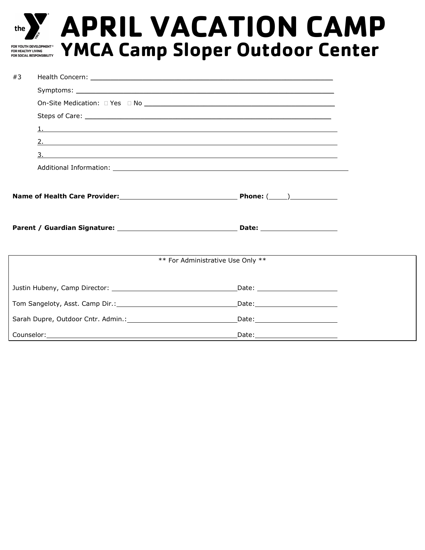

# the **Y** APRIL VACATION CAMP **YMCA Camp Sloper Outdoor Center**

| #3 |  |                                                                     |  |  |  |  |
|----|--|---------------------------------------------------------------------|--|--|--|--|
|    |  |                                                                     |  |  |  |  |
|    |  |                                                                     |  |  |  |  |
|    |  |                                                                     |  |  |  |  |
|    |  |                                                                     |  |  |  |  |
|    |  |                                                                     |  |  |  |  |
|    |  |                                                                     |  |  |  |  |
|    |  |                                                                     |  |  |  |  |
|    |  |                                                                     |  |  |  |  |
|    |  |                                                                     |  |  |  |  |
|    |  |                                                                     |  |  |  |  |
|    |  |                                                                     |  |  |  |  |
|    |  |                                                                     |  |  |  |  |
|    |  |                                                                     |  |  |  |  |
|    |  | ** For Administrative Use Only **                                   |  |  |  |  |
|    |  |                                                                     |  |  |  |  |
|    |  | $\begin{tabular}{c} Date: \end{tabular}$                            |  |  |  |  |
|    |  |                                                                     |  |  |  |  |
|    |  | Sarah Dupre, Outdoor Cntr. Admin.: Care Date: Care Date: Care Date: |  |  |  |  |
|    |  | _Date:___________________________                                   |  |  |  |  |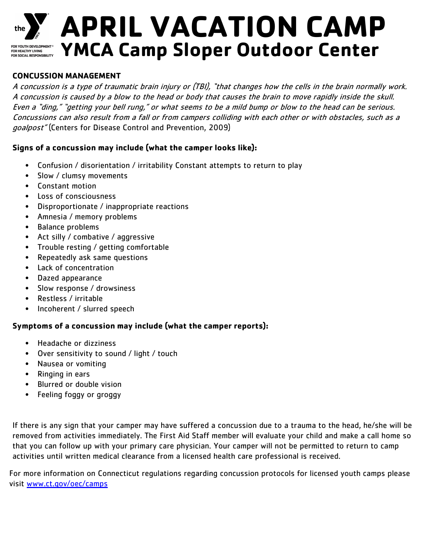

# **APRIL VACATION CAMP YMCA Camp Sloper Outdoor Center**

FOR YOUTH DEVELOPMENT®<br>FOR HEALTHY LIVING<br>FOR SOCIAL RESPONSIBILITY

### **CONCUSSION MANAGEMENT**

A concussion is a type of traumatic brain injury or (TBI), "that changes how the cells in the brain normally work. A concussion is caused by a blow to the head or body that causes the brain to move rapidly inside the skull. Even a "ding," "getting your bell rung," or what seems to be a mild bump or blow to the head can be serious. Concussions can also result from a fall or from campers colliding with each other or with obstacles, such as a goalpost" (Centers for Disease Control and Prevention, 2009)

### **Signs of a concussion may include (what the camper looks like):**

- Confusion / disorientation / irritability Constant attempts to return to play
- Slow / clumsy movements
- Constant motion
- Loss of consciousness
- Disproportionate / inappropriate reactions
- Amnesia / memory problems
- Balance problems
- Act silly / combative / aggressive
- Trouble resting / getting comfortable
- Repeatedly ask same questions
- Lack of concentration
- Dazed appearance
- Slow response / drowsiness
- Restless / irritable
- Incoherent / slurred speech

### **Symptoms of a concussion may include (what the camper reports):**

- Headache or dizziness
- Over sensitivity to sound / light / touch
- Nausea or vomiting
- Ringing in ears
- Blurred or double vision
- Feeling foggy or groggy

If there is any sign that your camper may have suffered a concussion due to a trauma to the head, he/she will be removed from activities immediately. The First Aid Staff member will evaluate your child and make a call home so that you can follow up with your primary care physician. Your camper will not be permitted to return to camp activities until written medical clearance from a licensed health care professional is received.

For more information on Connecticut regulations regarding concussion protocols for licensed youth camps please visit [www.ct.gov/oec/camps](http://www.ct.gov/oec/camps)